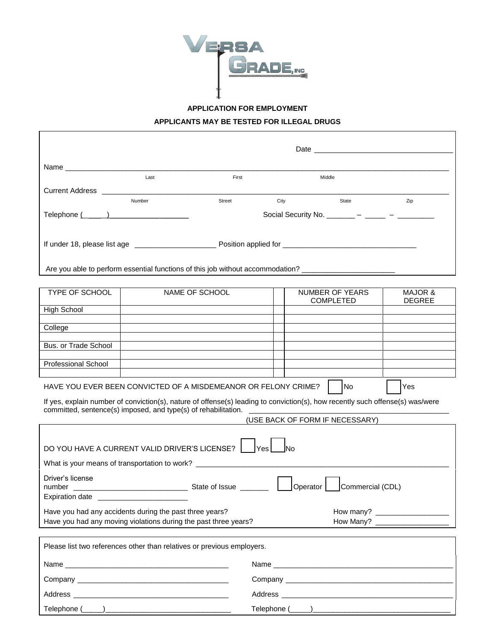

**APPLICATION FOR EMPLOYMENT**

**APPLICANTS MAY BE TESTED FOR ILLEGAL DRUGS**

|                                                                                                      | Last                                           | First          |      | Middle                              |                                     |  |  |  |
|------------------------------------------------------------------------------------------------------|------------------------------------------------|----------------|------|-------------------------------------|-------------------------------------|--|--|--|
|                                                                                                      |                                                |                |      |                                     |                                     |  |  |  |
|                                                                                                      | Number                                         | Street         | City | State                               | Zip                                 |  |  |  |
|                                                                                                      | Social Security No. _______ – _____ – ______ – |                |      |                                     |                                     |  |  |  |
|                                                                                                      |                                                |                |      |                                     |                                     |  |  |  |
| Are you able to perform essential functions of this job without accommodation? _____________________ |                                                |                |      |                                     |                                     |  |  |  |
|                                                                                                      |                                                |                |      |                                     |                                     |  |  |  |
| <b>TYPE OF SCHOOL</b>                                                                                |                                                | NAME OF SCHOOL |      | NUMBER OF YEARS<br><b>COMPLETED</b> | <b>MAJOR &amp;</b><br><b>DEGREE</b> |  |  |  |
| <b>High School</b>                                                                                   |                                                |                |      |                                     |                                     |  |  |  |
|                                                                                                      |                                                |                |      |                                     |                                     |  |  |  |

| College                    |  |  |
|----------------------------|--|--|
|                            |  |  |
| Bus. or Trade School       |  |  |
|                            |  |  |
| <b>Professional School</b> |  |  |
|                            |  |  |

HAVE YOU EVER BEEN CONVICTED OF A MISDEMEANOR OR FELONY CRIME?  $\Box$  No  $\Box$  Yes

If yes, explain number of conviction(s), nature of offense(s) leading to conviction(s), how recently such offense(s) was/were committed, sentence(s) imposed, and type(s) of rehabilitation. \_\_\_\_\_\_\_\_\_\_\_\_\_\_\_\_\_\_\_\_\_\_\_\_\_\_\_\_\_\_\_\_\_\_\_\_\_\_\_\_\_\_\_\_\_\_\_\_\_

(USE BACK OF FORM IF NECESSARY)

| DO YOU HAVE A CURRENT VALID DRIVER'S LICENSE?                          |                                   |  |  |  |  |  |  |  |
|------------------------------------------------------------------------|-----------------------------------|--|--|--|--|--|--|--|
| lYes l                                                                 |                                   |  |  |  |  |  |  |  |
|                                                                        |                                   |  |  |  |  |  |  |  |
| Driver's license                                                       | Operator   Commercial (CDL)       |  |  |  |  |  |  |  |
| Expiration date __________________________                             |                                   |  |  |  |  |  |  |  |
| Have you had any accidents during the past three years?                |                                   |  |  |  |  |  |  |  |
| Have you had any moving violations during the past three years?        | How Many? _______________________ |  |  |  |  |  |  |  |
| Please list two references other than relatives or previous employers. |                                   |  |  |  |  |  |  |  |
|                                                                        |                                   |  |  |  |  |  |  |  |
|                                                                        |                                   |  |  |  |  |  |  |  |
|                                                                        |                                   |  |  |  |  |  |  |  |
|                                                                        |                                   |  |  |  |  |  |  |  |